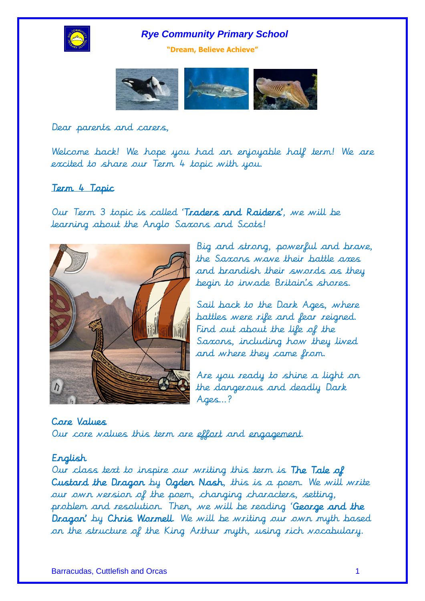

**"Dream, Believe Achieve"**



Dear parents and carers,

Welcome back! We hope you had an enjoyable half term! We are excited to share our Term 4 topic with you.

# Term 4 Topic

Our Term 3 topic is called 'Traders and Raiders', we will be learning about the Anglo Saxons and Scots!



Big and strong, powerful and brave, the Saxons wave their battle axes and brandish their swords as they begin to invade Britain's shores.

Sail back to the Dark Ages, where battles were rife and fear reigned. Find out about the life of the Saxons, including how they lived and where they came from.

Are you ready to shine a light on the dangerous and deadly Dark Ages…?

Core Values Our core values this term are effort and engagement.

# English

Our class text to inspire our writing this term is The Tale of Custard the Dragon by Ogden Nash, this is a poem. We will write our own version of the poem, changing characters, setting, problem and resolution. Then, we will be reading 'George and the Dragon' by Chris Wormell. We will be writing our own myth based on the structure of the King Arthur myth, using rich vocabulary.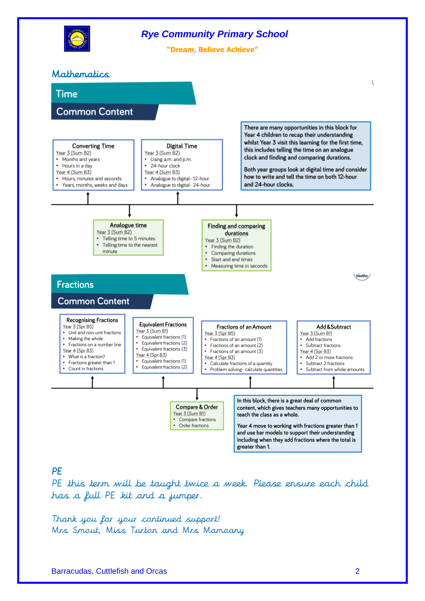

# **PF**

PE this term will be taught twice a week. Please ensure each child has a full PE kit and a jumper.

Thank you for your continued support! Mrs Smout, Miss Turton and Mrs Mamoany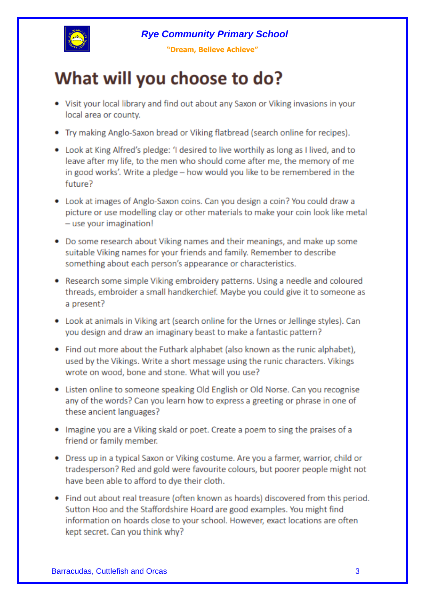

"Dream, Believe Achieve"

# What will you choose to do?

- Visit your local library and find out about any Saxon or Viking invasions in your local area or county.
- Try making Anglo-Saxon bread or Viking flatbread (search online for recipes).
- Look at King Alfred's pledge: 'I desired to live worthily as long as I lived, and to leave after my life, to the men who should come after me, the memory of me in good works'. Write a pledge - how would you like to be remembered in the future?
- Look at images of Anglo-Saxon coins. Can you design a coin? You could draw a picture or use modelling clay or other materials to make your coin look like metal - use your imagination!
- Do some research about Viking names and their meanings, and make up some suitable Viking names for your friends and family. Remember to describe something about each person's appearance or characteristics.
- Research some simple Viking embroidery patterns. Using a needle and coloured threads, embroider a small handkerchief. Maybe you could give it to someone as a present?
- Look at animals in Viking art (search online for the Urnes or Jellinge styles). Can you design and draw an imaginary beast to make a fantastic pattern?
- Find out more about the Futhark alphabet (also known as the runic alphabet), used by the Vikings. Write a short message using the runic characters. Vikings wrote on wood, bone and stone. What will you use?
- Listen online to someone speaking Old English or Old Norse. Can you recognise any of the words? Can you learn how to express a greeting or phrase in one of these ancient languages?
- . Imagine you are a Viking skald or poet. Create a poem to sing the praises of a friend or family member.
- Dress up in a typical Saxon or Viking costume. Are you a farmer, warrior, child or tradesperson? Red and gold were favourite colours, but poorer people might not have been able to afford to dye their cloth.
- Find out about real treasure (often known as hoards) discovered from this period. Sutton Hoo and the Staffordshire Hoard are good examples. You might find information on hoards close to your school. However, exact locations are often kept secret. Can you think why?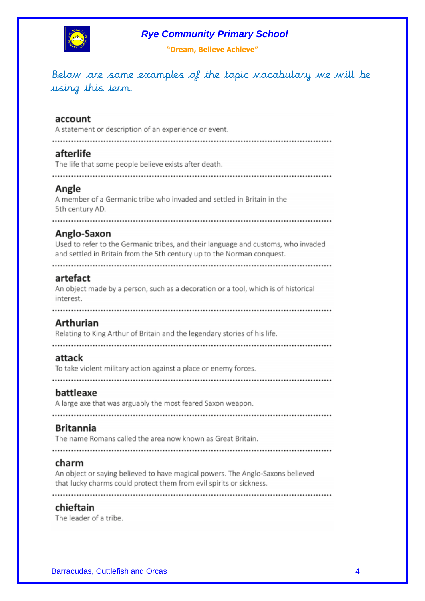

"Dream, Believe Achieve"

Below are some examples of the topic vocabulary we will be using this term.

#### account

A statement or description of an experience or event.

# afterlife

The life that some people believe exists after death.

# Angle

A member of a Germanic tribe who invaded and settled in Britain in the 5th century AD.

# 

# Anglo-Saxon

Used to refer to the Germanic tribes, and their language and customs, who invaded and settled in Britain from the 5th century up to the Norman conquest.

# artefact

An object made by a person, such as a decoration or a tool, which is of historical interest.

# Arthurian

Relating to King Arthur of Britain and the legendary stories of his life.

#### attack

To take violent military action against a place or enemy forces.

#### battleaxe

A large axe that was arguably the most feared Saxon weapon.

#### **Britannia**

The name Romans called the area now known as Great Britain.

#### charm

An object or saying believed to have magical powers. The Anglo-Saxons believed that lucky charms could protect them from evil spirits or sickness.

#### chieftain

The leader of a tribe.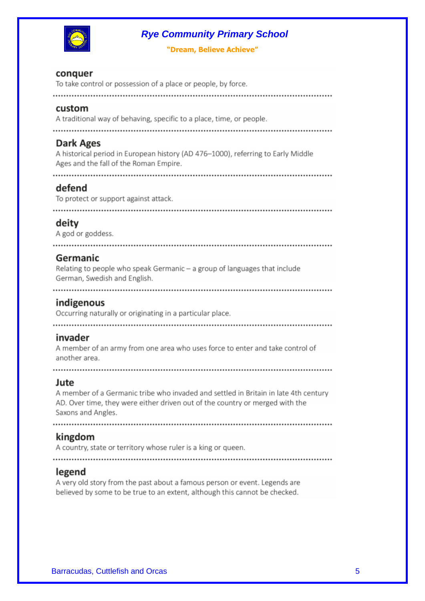

"Dream, Believe Achieve"

### conquer

To take control or possession of a place or people, by force.

#### custom

A traditional way of behaving, specific to a place, time, or people.

#### Dark Ages

A historical period in European history (AD 476-1000), referring to Early Middle Ages and the fall of the Roman Empire.

#### defend

To protect or support against attack.

#### deity

A god or goddess.

#### . . . . . . . . . . . . . . . . . .

#### Germanic

Relating to people who speak Germanic - a group of languages that include German, Swedish and English.

#### indigenous

Occurring naturally or originating in a particular place.

#### invader

A member of an army from one area who uses force to enter and take control of another area.

#### Jute

A member of a Germanic tribe who invaded and settled in Britain in late 4th century AD. Over time, they were either driven out of the country or merged with the Saxons and Angles.

#### kingdom

A country, state or territory whose ruler is a king or queen.

#### legend

A very old story from the past about a famous person or event. Legends are believed by some to be true to an extent, although this cannot be checked.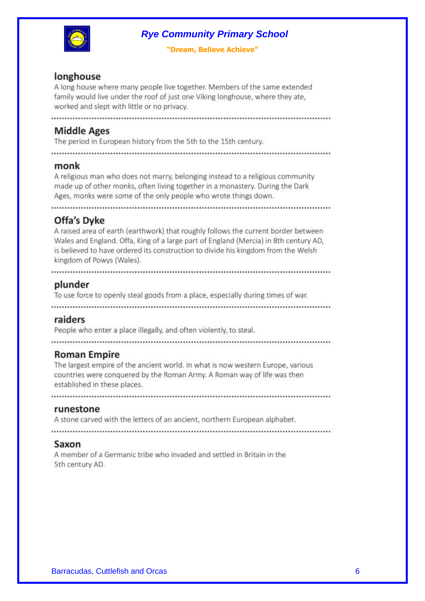

"Dream, Believe Achieve"

# longhouse

A long house where many people live together. Members of the same extended family would live under the roof of just one Viking longhouse, where they ate, worked and slept with little or no privacy.

# **Middle Ages**

The period in European history from the 5th to the 15th century.

#### monk

A religious man who does not marry, belonging instead to a religious community made up of other monks, often living together in a monastery. During the Dark Ages, monks were some of the only people who wrote things down.

# Offa's Dyke

A raised area of earth (earthwork) that roughly follows the current border between Wales and England. Offa, King of a large part of England (Mercia) in 8th century AD, is believed to have ordered its construction to divide his kingdom from the Welsh kingdom of Powys (Wales).

# plunder

To use force to openly steal goods from a place, especially during times of war.

#### raiders

People who enter a place illegally, and often violently, to steal.

# **Roman Empire**

The largest empire of the ancient world. In what is now western Europe, various countries were conquered by the Roman Army. A Roman way of life was then established in these places.

#### runestone

A stone carved with the letters of an ancient, northern European alphabet.

#### Saxon

A member of a Germanic tribe who invaded and settled in Britain in the 5th century AD.